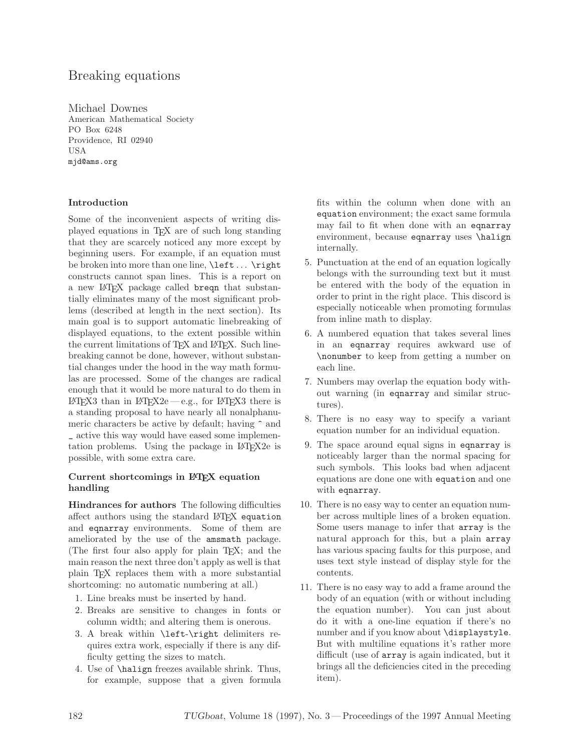# Breaking equations

Michael Downes American Mathematical Society PO Box 6248 Providence, RI 02940 USA mjd@ams.org

### **Introduction**

Some of the inconvenient aspects of writing displayed equations in TEX are of such long standing that they are scarcely noticed any more except by beginning users. For example, if an equation must be broken into more than one line, \left ... \right constructs cannot span lines. This is a report on a new LATEX package called breqn that substantially eliminates many of the most significant problems (described at length in the next section). Its main goal is to support automatic linebreaking of displayed equations, to the extent possible within the current limitations of T<sub>E</sub>X and L<sup>AT</sup>EX. Such linebreaking cannot be done, however, without substantial changes under the hood in the way math formulas are processed. Some of the changes are radical enough that it would be more natural to do them in LAT<sub>E</sub>X3 than in LAT<sub>E</sub>X2e — e.g., for LAT<sub>E</sub>X3 there is a standing proposal to have nearly all nonalphanumeric characters be active by default; having ^ and \_ active this way would have eased some implementation problems. Using the package in LATEX2e is possible, with some extra care.

### **Current shortcomings in LATEX equation handling**

**Hindrances for authors** The following difficulties affect authors using the standard LATEX equation and eqnarray environments. Some of them are ameliorated by the use of the amsmath package. (The first four also apply for plain TEX; and the main reason the next three don't apply as well is that plain TEX replaces them with a more substantial shortcoming: no automatic numbering at all.)

- 1. Line breaks must be inserted by hand.
- 2. Breaks are sensitive to changes in fonts or column width; and altering them is onerous.
- 3. A break within \left-\right delimiters requires extra work, especially if there is any difficulty getting the sizes to match.
- 4. Use of \halign freezes available shrink. Thus, for example, suppose that a given formula

fits within the column when done with an equation environment; the exact same formula may fail to fit when done with an eqnarray environment, because eqnarray uses \halign internally.

- 5. Punctuation at the end of an equation logically belongs with the surrounding text but it must be entered with the body of the equation in order to print in the right place. This discord is especially noticeable when promoting formulas from inline math to display.
- 6. A numbered equation that takes several lines in an eqnarray requires awkward use of \nonumber to keep from getting a number on each line.
- 7. Numbers may overlap the equation body without warning (in eqnarray and similar structures).
- 8. There is no easy way to specify a variant equation number for an individual equation.
- 9. The space around equal signs in eqnarray is noticeably larger than the normal spacing for such symbols. This looks bad when adjacent equations are done one with equation and one with eqnarray.
- 10. There is no easy way to center an equation number across multiple lines of a broken equation. Some users manage to infer that array is the natural approach for this, but a plain array has various spacing faults for this purpose, and uses text style instead of display style for the contents.
- 11. There is no easy way to add a frame around the body of an equation (with or without including the equation number). You can just about do it with a one-line equation if there's no number and if you know about \displaystyle. But with multiline equations it's rather more difficult (use of array is again indicated, but it brings all the deficiencies cited in the preceding item).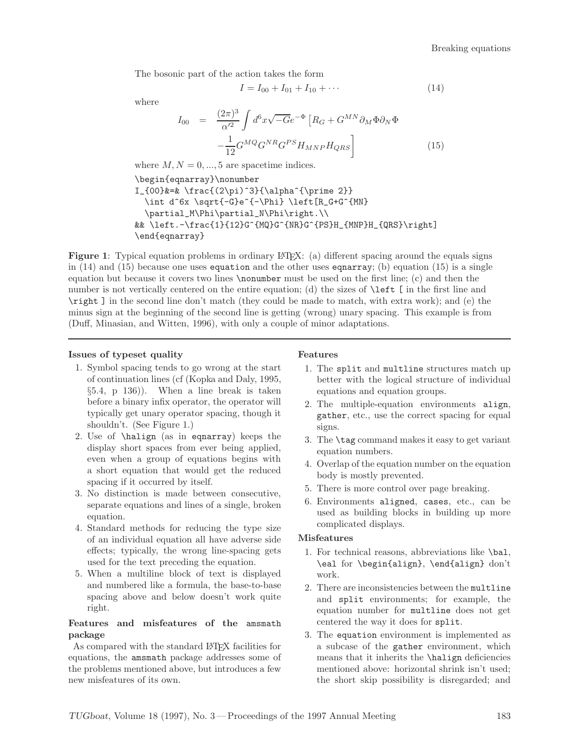The bosonic part of the action takes the form

$$
I = I_{00} + I_{01} + I_{10} + \cdots \tag{14}
$$

where

$$
I_{00} = \frac{(2\pi)^3}{\alpha'^2} \int d^6x \sqrt{-G} e^{-\Phi} \left[ R_G + G^{MN} \partial_M \Phi \partial_N \Phi \right.\left. - \frac{1}{12} G^{MQ} G^{NR} G^{PS} H_{MNP} H_{QRS} \right]
$$
\n(15)

where  $M, N = 0, ..., 5$  are spacetime indices.

```
\begin{eqnarray}\nonumber
I_{00}&=& \frac{(2\pi)^3}{\alpha^{\prime 2}}
  \int d^6x \sqrt{-G}e^{-\Phi} \left[R_G+G^{MN}
  \partial_M\Phi\partial_N\Phi\right.\\
&& \left.-\frac{1}{12}G^{MQ}G^{NR}G^{PS}H_{MNP}H_{QRS}\right]
\end{eqnarray}
```
**Figure 1**: Typical equation problems in ordinary LATEX: (a) different spacing around the equals signs in  $(14)$  and  $(15)$  because one uses equation and the other uses equarray; (b) equation  $(15)$  is a single equation but because it covers two lines \nonumber must be used on the first line; (c) and then the number is not vertically centered on the entire equation; (d) the sizes of \left [ in the first line and \right ] in the second line don't match (they could be made to match, with extra work); and (e) the minus sign at the beginning of the second line is getting (wrong) unary spacing. This example is from (Duff, Minasian, and Witten, 1996), with only a couple of minor adaptations.

### **Issues of typeset quality**

- 1. Symbol spacing tends to go wrong at the start of continuation lines (cf (Kopka and Daly, 1995, §5.4, p 136)). When a line break is taken before a binary infix operator, the operator will typically get unary operator spacing, though it shouldn't. (See Figure 1.)
- 2. Use of \halign (as in eqnarray) keeps the display short spaces from ever being applied, even when a group of equations begins with a short equation that would get the reduced spacing if it occurred by itself.
- 3. No distinction is made between consecutive, separate equations and lines of a single, broken equation.
- 4. Standard methods for reducing the type size of an individual equation all have adverse side effects; typically, the wrong line-spacing gets used for the text preceding the equation.
- 5. When a multiline block of text is displayed and numbered like a formula, the base-to-base spacing above and below doesn't work quite right.

### **Features and misfeatures of the** amsmath **package**

As compared with the standard LATEX facilities for equations, the amsmath package addresses some of the problems mentioned above, but introduces a few new misfeatures of its own.

### **Features**

- 1. The split and multline structures match up better with the logical structure of individual equations and equation groups.
- 2. The multiple-equation environments align, gather, etc., use the correct spacing for equal signs.
- 3. The \tag command makes it easy to get variant equation numbers.
- 4. Overlap of the equation number on the equation body is mostly prevented.
- 5. There is more control over page breaking.
- 6. Environments aligned, cases, etc., can be used as building blocks in building up more complicated displays.

#### **Misfeatures**

- 1. For technical reasons, abbreviations like \bal, \eal for \begin{align}, \end{align} don't work.
- 2. There are inconsistencies between the multline and split environments; for example, the equation number for multline does not get centered the way it does for split.
- 3. The equation environment is implemented as a subcase of the gather environment, which means that it inherits the \halign deficiencies mentioned above: horizontal shrink isn't used; the short skip possibility is disregarded; and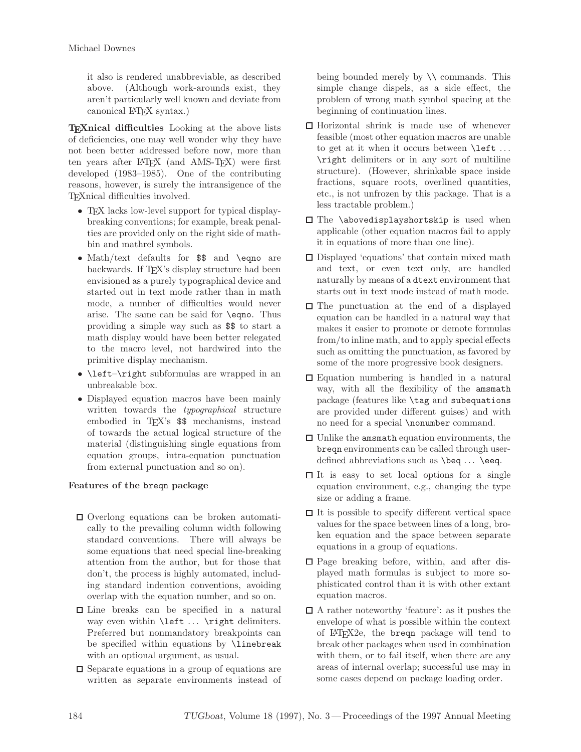it also is rendered unabbreviable, as described above. (Although work-arounds exist, they aren't particularly well known and deviate from canonical LATEX syntax.)

**TEXnical difficulties** Looking at the above lists of deficiencies, one may well wonder why they have not been better addressed before now, more than ten years after LATEX (and AMS-TEX) were first developed (1983–1985). One of the contributing reasons, however, is surely the intransigence of the TEXnical difficulties involved.

- TFX lacks low-level support for typical displaybreaking conventions; for example, break penalties are provided only on the right side of mathbin and mathrel symbols.
- Math/text defaults for \$\$ and \eqno are backwards. If TEX's display structure had been envisioned as a purely typographical device and started out in text mode rather than in math mode, a number of difficulties would never arise. The same can be said for \eqno. Thus providing a simple way such as \$\$ to start a math display would have been better relegated to the macro level, not hardwired into the primitive display mechanism.
- **\left-\right** subformulas are wrapped in an unbreakable box.
- Displayed equation macros have been mainly written towards the typographical structure embodied in T<sub>EX</sub>'s \$\$ mechanisms, instead of towards the actual logical structure of the material (distinguishing single equations from equation groups, intra-equation punctuation from external punctuation and so on).

### **Features of the** breqn **package**

- $\Box$  Overlong equations can be broken automatically to the prevailing column width following standard conventions. There will always be some equations that need special line-breaking attention from the author, but for those that don't, the process is highly automated, including standard indention conventions, avoiding overlap with the equation number, and so on.
- $\square$  Line breaks can be specified in a natural way even within \left ... \right delimiters. Preferred but nonmandatory breakpoints can be specified within equations by \linebreak with an optional argument, as usual.
- $\Box$  Separate equations in a group of equations are written as separate environments instead of

being bounded merely by \\ commands. This simple change dispels, as a side effect, the problem of wrong math symbol spacing at the beginning of continuation lines.

- $\Box$  Horizontal shrink is made use of whenever feasible (most other equation macros are unable to get at it when it occurs between \left ... \right delimiters or in any sort of multiline structure). (However, shrinkable space inside fractions, square roots, overlined quantities, etc., is not unfrozen by this package. That is a less tractable problem.)
- $\square$  The \abovedisplayshortskip is used when applicable (other equation macros fail to apply it in equations of more than one line).
- $\Box$  Displayed 'equations' that contain mixed math and text, or even text only, are handled naturally by means of a dtext environment that starts out in text mode instead of math mode.
- $\Box$  The punctuation at the end of a displayed equation can be handled in a natural way that makes it easier to promote or demote formulas from/to inline math, and to apply special effects such as omitting the punctuation, as favored by some of the more progressive book designers.
- $\square$  Equation numbering is handled in a natural way, with all the flexibility of the amsmath package (features like \tag and subequations are provided under different guises) and with no need for a special \nonumber command.
- $\Box$  Unlike the amsmath equation environments, the breqn environments can be called through userdefined abbreviations such as \beq ... \eeq.
- $\Box$  It is easy to set local options for a single equation environment, e.g., changing the type size or adding a frame.
- $\Box$  It is possible to specify different vertical space values for the space between lines of a long, broken equation and the space between separate equations in a group of equations.
- Page breaking before, within, and after displayed math formulas is subject to more sophisticated control than it is with other extant equation macros.
- $\Box$  A rather noteworthy 'feature': as it pushes the envelope of what is possible within the context of LATEX2e, the breqn package will tend to break other packages when used in combination with them, or to fail itself, when there are any areas of internal overlap; successful use may in some cases depend on package loading order.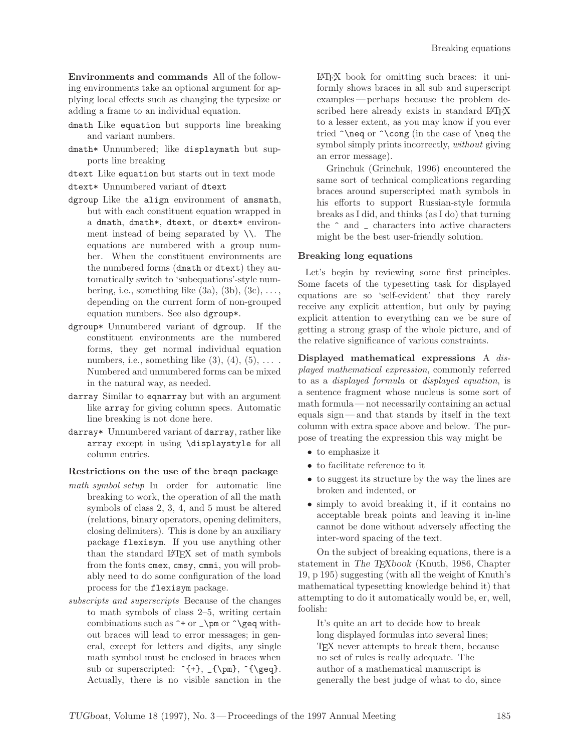**Environments and commands** All of the following environments take an optional argument for applying local effects such as changing the typesize or adding a frame to an individual equation.

- dmath Like equation but supports line breaking and variant numbers.
- dmath\* Unnumbered; like displaymath but supports line breaking
- dtext Like equation but starts out in text mode
- dtext\* Unnumbered variant of dtext
- dgroup Like the align environment of amsmath, but with each constituent equation wrapped in a dmath, dmath\*, dtext, or dtext\* environment instead of being separated by \\. The equations are numbered with a group number. When the constituent environments are the numbered forms (dmath or dtext) they automatically switch to 'subequations'-style numbering, i.e., something like  $(3a)$ ,  $(3b)$ ,  $(3c)$ , ..., depending on the current form of non-grouped equation numbers. See also dgroup\*.
- dgroup\* Unnumbered variant of dgroup. If the constituent environments are the numbered forms, they get normal individual equation numbers, i.e., something like  $(3)$ ,  $(4)$ ,  $(5)$ , ... Numbered and unnumbered forms can be mixed in the natural way, as needed.
- darray Similar to eqnarray but with an argument like array for giving column specs. Automatic line breaking is not done here.
- darray\* Unnumbered variant of darray, rather like array except in using \displaystyle for all column entries.

#### **Restrictions on the use of the** breqn **package**

- math symbol setup In order for automatic line breaking to work, the operation of all the math symbols of class 2, 3, 4, and 5 must be altered (relations, binary operators, opening delimiters, closing delimiters). This is done by an auxiliary package flexisym. If you use anything other than the standard IATEX set of math symbols from the fonts cmex, cmsy, cmmi, you will probably need to do some configuration of the load process for the flexisym package.
- subscripts and superscripts Because of the changes to math symbols of class 2–5, writing certain combinations such as  $\text{-}\text{pm}$  or  $\text{-}\text{geq with-}$ out braces will lead to error messages; in general, except for letters and digits, any single math symbol must be enclosed in braces when sub or superscripted:  $\{\pm\}$ ,  ${\pmb{\mod}$ ,  ${\geq}$ . Actually, there is no visible sanction in the

LATEX book for omitting such braces: it uniformly shows braces in all sub and superscript examples —perhaps because the problem described here already exists in standard LAT<sub>EX</sub> to a lesser extent, as you may know if you ever tried  $\triangle$ neq or  $\cong$  (in the case of  $\neq$  the symbol simply prints incorrectly, without giving an error message).

Grinchuk (Grinchuk, 1996) encountered the same sort of technical complications regarding braces around superscripted math symbols in his efforts to support Russian-style formula breaks as I did, and thinks (as I do) that turning the ^ and \_ characters into active characters might be the best user-friendly solution.

#### **Breaking long equations**

Let's begin by reviewing some first principles. Some facets of the typesetting task for displayed equations are so 'self-evident' that they rarely receive any explicit attention, but only by paying explicit attention to everything can we be sure of getting a strong grasp of the whole picture, and of the relative significance of various constraints.

**Displayed mathematical expressions** A displayed mathematical expression, commonly referred to as a displayed formula or displayed equation, is a sentence fragment whose nucleus is some sort of math formula— not necessarily containing an actual equals sign— and that stands by itself in the text column with extra space above and below. The purpose of treating the expression this way might be

- to emphasize it
- to facilitate reference to it
- to suggest its structure by the way the lines are broken and indented, or
- simply to avoid breaking it, if it contains no acceptable break points and leaving it in-line cannot be done without adversely affecting the inter-word spacing of the text.

On the subject of breaking equations, there is a statement in *The TEXbook* (Knuth, 1986, Chapter 19, p 195) suggesting (with all the weight of Knuth's mathematical typesetting knowledge behind it) that attempting to do it automatically would be, er, well, foolish:

It's quite an art to decide how to break long displayed formulas into several lines; TEX never attempts to break them, because no set of rules is really adequate. The author of a mathematical manuscript is generally the best judge of what to do, since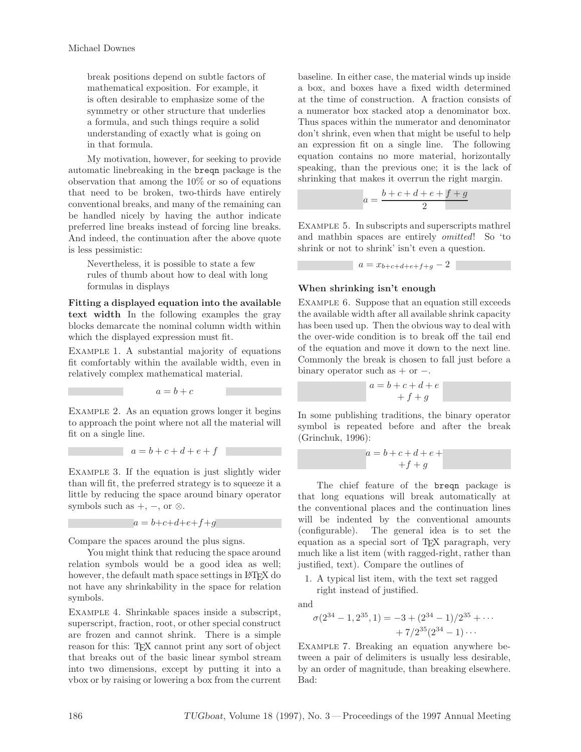break positions depend on subtle factors of mathematical exposition. For example, it is often desirable to emphasize some of the symmetry or other structure that underlies a formula, and such things require a solid understanding of exactly what is going on in that formula.

My motivation, however, for seeking to provide automatic linebreaking in the breqn package is the observation that among the 10% or so of equations that need to be broken, two-thirds have entirely conventional breaks, and many of the remaining can be handled nicely by having the author indicate preferred line breaks instead of forcing line breaks. And indeed, the continuation after the above quote is less pessimistic:

Nevertheless, it is possible to state a few rules of thumb about how to deal with long formulas in displays

**Fitting a displayed equation into the available text width** In the following examples the gray blocks demarcate the nominal column width within which the displayed expression must fit.

Example 1. A substantial majority of equations fit comfortably within the available width, even in relatively complex mathematical material.

 $a = b + c$ 

Example 2. As an equation grows longer it begins to approach the point where not all the material will fit on a single line.

$$
a = b + c + d + e + f
$$

Example 3. If the equation is just slightly wider than will fit, the preferred strategy is to squeeze it a little by reducing the space around binary operator symbols such as  $+$ ,  $-$ , or  $\otimes$ .

 $a = b + c + d + e + f + g$ 

Compare the spaces around the plus signs.

You might think that reducing the space around relation symbols would be a good idea as well; however, the default math space settings in LAT<sub>E</sub>X do not have any shrinkability in the space for relation symbols.

Example 4. Shrinkable spaces inside a subscript, superscript, fraction, root, or other special construct are frozen and cannot shrink. There is a simple reason for this: T<sub>EX</sub> cannot print any sort of object that breaks out of the basic linear symbol stream into two dimensions, except by putting it into a vbox or by raising or lowering a box from the current

baseline. In either case, the material winds up inside a box, and boxes have a fixed width determined at the time of construction. A fraction consists of a numerator box stacked atop a denominator box. Thus spaces within the numerator and denominator don't shrink, even when that might be useful to help an expression fit on a single line. The following equation contains no more material, horizontally speaking, than the previous one; it is the lack of shrinking that makes it overrun the right margin.

$$
a = \frac{b+c+d+e+f+g}{2}
$$

Example 5. In subscripts and superscripts mathrel and mathbin spaces are entirely omitted! So 'to shrink or not to shrink' isn't even a question.

$$
a = x_{b+c+d+e+f+g} - 2
$$

### **When shrinking isn't enough**

Example 6. Suppose that an equation still exceeds the available width after all available shrink capacity has been used up. Then the obvious way to deal with the over-wide condition is to break off the tail end of the equation and move it down to the next line. Commonly the break is chosen to fall just before a binary operator such as  $+$  or  $-$ .

$$
a = b + c + d + e
$$
  
+ f + g

In some publishing traditions, the binary operator symbol is repeated before and after the break (Grinchuk, 1996):

$$
a = b + c + d + e ++f+g
$$

The chief feature of the breqn package is that long equations will break automatically at the conventional places and the continuation lines will be indented by the conventional amounts (configurable). The general idea is to set the equation as a special sort of TEX paragraph, very much like a list item (with ragged-right, rather than justified, text). Compare the outlines of

1. A typical list item, with the text set ragged right instead of justified.

and

$$
\sigma(2^{34} - 1, 2^{35}, 1) = -3 + (2^{34} - 1)/2^{35} + \cdots
$$

$$
+ 7/2^{35}(2^{34} - 1) \cdots
$$

EXAMPLE 7. Breaking an equation anywhere between a pair of delimiters is usually less desirable, by an order of magnitude, than breaking elsewhere. Bad: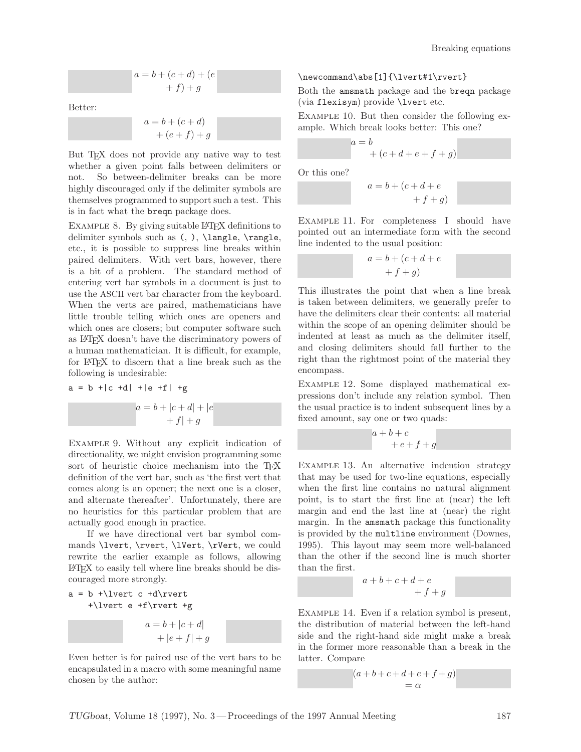$$
a = b + (c + d) + (e
$$

$$
+ f) + g
$$

Better:

$$
a = b + (c + d)
$$
  
+ 
$$
(e + f) + g
$$

But T<sub>EX</sub> does not provide any native way to test whether a given point falls between delimiters or not. So between-delimiter breaks can be more highly discouraged only if the delimiter symbols are themselves programmed to support such a test. This is in fact what the breqn package does.

EXAMPLE 8. By giving suitable LATEX definitions to delimiter symbols such as (, ), \langle, \rangle, etc., it is possible to suppress line breaks within paired delimiters. With vert bars, however, there is a bit of a problem. The standard method of entering vert bar symbols in a document is just to use the ASCII vert bar character from the keyboard. When the verts are paired, mathematicians have little trouble telling which ones are openers and which ones are closers; but computer software such as LATEX doesn't have the discriminatory powers of a human mathematician. It is difficult, for example, for LATEX to discern that a line break such as the following is undesirable:

$$
a = b + |c + d| + |e + f| + g
$$

$$
a = b + |c + d| + |e
$$

$$
+ f| + g
$$

Example 9. Without any explicit indication of directionality, we might envision programming some sort of heuristic choice mechanism into the TFX definition of the vert bar, such as 'the first vert that comes along is an opener; the next one is a closer, and alternate thereafter'. Unfortunately, there are no heuristics for this particular problem that are actually good enough in practice.

If we have directional vert bar symbol commands \lvert, \rvert, \lVert, \rVert, we could rewrite the earlier example as follows, allowing LATEX to easily tell where line breaks should be discouraged more strongly.

$$
a = b + \lvert c + d \rvert
$$
  
 
$$
+ \lvert e + f \rvert + g
$$

$$
a = b + |c + d|
$$
  
+ |e + f| + g

Even better is for paired use of the vert bars to be encapsulated in a macro with some meaningful name chosen by the author:

#### \newcommand\abs[1]{\lvert#1\rvert}

Both the amsmath package and the breqn package (via flexisym) provide \lvert etc.

Example 10. But then consider the following example. Which break looks better: This one?

$$
a = b
$$
  
+ $(c+d+e+f+g)$ 

Or this one?

$$
a = b + (c + d + e
$$

$$
+ f + g)
$$

EXAMPLE 11. For completeness I should have pointed out an intermediate form with the second line indented to the usual position:

$$
a = b + (c + d + e
$$

$$
+ f + g)
$$

This illustrates the point that when a line break is taken between delimiters, we generally prefer to have the delimiters clear their contents: all material within the scope of an opening delimiter should be indented at least as much as the delimiter itself, and closing delimiters should fall further to the right than the rightmost point of the material they encompass.

Example 12. Some displayed mathematical expressions don't include any relation symbol. Then the usual practice is to indent subsequent lines by a fixed amount, say one or two quads:

$$
a+b+c+e+f+g
$$

Example 13. An alternative indention strategy that may be used for two-line equations, especially when the first line contains no natural alignment point, is to start the first line at (near) the left margin and end the last line at (near) the right margin. In the amsmath package this functionality is provided by the multline environment (Downes, 1995). This layout may seem more well-balanced than the other if the second line is much shorter than the first.

$$
a+b+c+d+e+f+g
$$

EXAMPLE 14. Even if a relation symbol is present, the distribution of material between the left-hand side and the right-hand side might make a break in the former more reasonable than a break in the latter. Compare

$$
\begin{cases}\n(a+b+c+d+e+f+g) \\
= \alpha\n\end{cases}
$$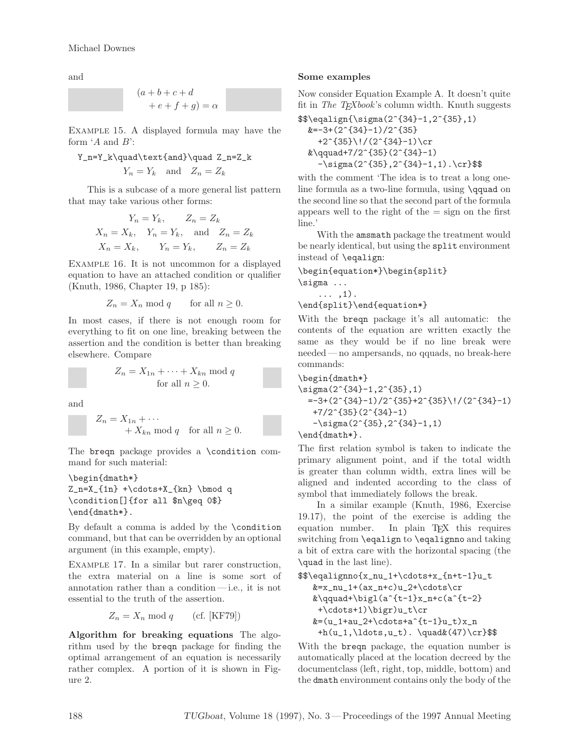and

$$
(a+b+c+d+e+f+g) = \alpha
$$

Example 15. A displayed formula may have the form  $'A$  and  $B$ :

$$
Y_n = Y_k \quad \text{and} \quad Z_n = Z_k
$$

$$
Y_n = Y_k \quad \text{and} \quad Z_n = Z_k
$$

This is a subcase of a more general list pattern that may take various other forms:

$$
Y_n = Y_k, \t Z_n = Z_k
$$
  

$$
X_n = X_k, \t Y_n = Y_k, \t and \t Z_n = Z_k
$$
  

$$
X_n = X_k, \t Y_n = Y_k, \t Z_n = Z_k
$$

Example 16. It is not uncommon for a displayed equation to have an attached condition or qualifier (Knuth, 1986, Chapter 19, p 185):

$$
Z_n = X_n \bmod q \qquad \text{for all } n \ge 0.
$$

In most cases, if there is not enough room for everything to fit on one line, breaking between the assertion and the condition is better than breaking elsewhere. Compare

$$
Z_n = X_{1n} + \dots + X_{kn} \mod q
$$
  
for all  $n \ge 0$ .

and

$$
Z_n = X_{1n} + \cdots
$$
  
+ 
$$
X_{kn} \bmod q \quad \text{for all } n \ge 0.
$$

The breqn package provides a \condition command for such material:

```
\begin{dmath*}
Z_n=X_{1n} +\cdots+X_{kn} \bmod q\condition[]{for all $n\geq 0$}
\end{dmath*}.
```
By default a comma is added by the \condition command, but that can be overridden by an optional argument (in this example, empty).

Example 17. In a similar but rarer construction, the extra material on a line is some sort of annotation rather than a condition —i.e., it is not essential to the truth of the assertion.

$$
Z_n = X_n \bmod q \qquad \text{(cf. [KF79])}
$$

**Algorithm for breaking equations** The algorithm used by the breqn package for finding the optimal arrangement of an equation is necessarily rather complex. A portion of it is shown in Figure 2.

### **Some examples**

Now consider Equation Example A. It doesn't quite fit in The TEXbook's column width. Knuth suggests

\$\$\eqalign{\sigma(2^{34}-1,2^{35},1)  $&=-3+(2^{(34)}-1)/2^{(35)}$ +2^{35}\!/(2^{34}-1)\cr  $\&\qquad$  $-\sigma(2^{35},2^{34}-1,1)$ . \cr}\$\$

with the comment 'The idea is to treat a long oneline formula as a two-line formula, using \qquad on the second line so that the second part of the formula appears well to the right of the  $=$  sign on the first line.'

With the amsmath package the treatment would be nearly identical, but using the split environment instead of \eqalign:

\begin{equation\*}\begin{split} \sigma ... ... ,1).

```
\end{split}\end{equation*}
```
With the breqn package it's all automatic: the contents of the equation are written exactly the same as they would be if no line break were needed — no ampersands, no qquads, no break-here commands:

```
\begin{dmath*}
\sigma(2^{34}-1,2^{35},1)
  =-3+(2^{(34)}-1)/2^{(35)}+2^{(35)}\cdot \cdot \cdot (2^{(34)}-1)+7/2^{35}(2^{34}-1)
   -\sigma(2^{35},2^{34}-1,1)\end{dmath*}.
```
The first relation symbol is taken to indicate the primary alignment point, and if the total width is greater than column width, extra lines will be aligned and indented according to the class of symbol that immediately follows the break.

In a similar example (Knuth, 1986, Exercise 19.17), the point of the exercise is adding the equation number. In plain TEX this requires switching from \eqalign to \eqalignno and taking a bit of extra care with the horizontal spacing (the \quad in the last line).

```
$$\eqalignno{x_nu_1+\cdots+x_{n+t-1}u_t
  &=x_nu_1+(ax_n+c)u_2+\cdots\cr\alpha+\binom{a^t-t-1}{x_n+c(a^t-2)}+\cdots+1)\bigr)u_t\cr
  &=(u_1+au_2+\cdots+a^{t-1}u_t)x_n+h(u_1,\ldots,u_t). \quadd^2(47)\cr
```
With the breqn package, the equation number is automatically placed at the location decreed by the documentclass (left, right, top, middle, bottom) and the dmath environment contains only the body of the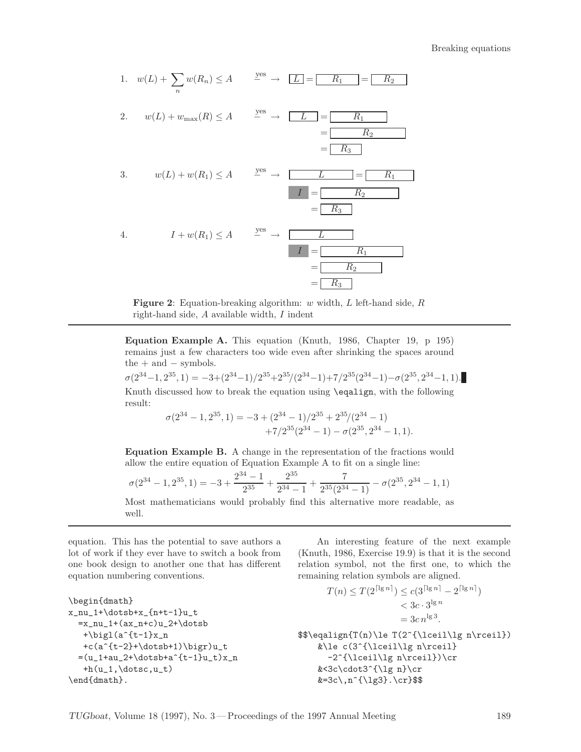

**Figure 2**: Equation-breaking algorithm: w width, L left-hand side, R right-hand side, A available width, I indent

**Equation Example A.** This equation (Knuth, 1986, Chapter 19, p 195) remains just a few characters too wide even after shrinking the spaces around  $the + and - symbols.$ 

 $\sigma(2^{34}-1, 2^{35}, 1) = -3+(2^{34}-1)/2^{35}+2^{35}/(2^{34}-1)+7/2^{35}(2^{34}-1)-\sigma(2^{35}, 2^{34}-1, 1).$ Knuth discussed how to break the equation using \eqalign, with the following result:

$$
\sigma(2^{34}-1, 2^{35}, 1) = -3 + (2^{34}-1)/2^{35} + 2^{35}/(2^{34}-1) +7/2^{35}(2^{34}-1) - \sigma(2^{35}, 2^{34}-1, 1).
$$

**Equation Example B.** A change in the representation of the fractions would allow the entire equation of Equation Example A to fit on a single line:

$$
\sigma(2^{34} - 1, 2^{35}, 1) = -3 + \frac{2^{34} - 1}{2^{35}} + \frac{2^{35}}{2^{34} - 1} + \frac{7}{2^{35}(2^{34} - 1)} - \sigma(2^{35}, 2^{34} - 1, 1)
$$

Most mathematicians would probably find this alternative more readable, as well.

equation. This has the potential to save authors a lot of work if they ever have to switch a book from one book design to another one that has different equation numbering conventions.

```
\begin{dmath}
x_nu_1+\dotsb+x_{n+t-1}u_t
  =x_nu_1+(ax_n+c)u_2+\dots+\big\right)igl(a^{t-1}x_n
   +c(a^{t-2}+\dots+b+1)\big\|_{x}=(u_1+au_2+\ldots+a^t-t)u_t)x_n+h(u_1,\ldots,u_t)\end{dmath}.
```
An interesting feature of the next example (Knuth, 1986, Exercise 19.9) is that it is the second relation symbol, not the first one, to which the remaining relation symbols are aligned.

$$
T(n) \leq T(2^{\lceil \lg n \rceil}) \leq c(3^{\lceil \lg n \rceil} - 2^{\lceil \lg n \rceil})
$$
  

$$
< 3c \cdot 3^{\lg n}
$$
  

$$
= 3cn^{\lg 3}.
$$
  
\$\eqalign{T(n)\leq T(2^{\lceil \lg n \rceil})\text{ %} \leq c(3^{\lceil \lg n \rceil})\text{ %} \leq 2^{\lceil \lg n \rceil} \text{ %} \leq 3c\cdot 3^{\lg n} \text{ %} \leq 3c\, n^{\lg 3}.\cr}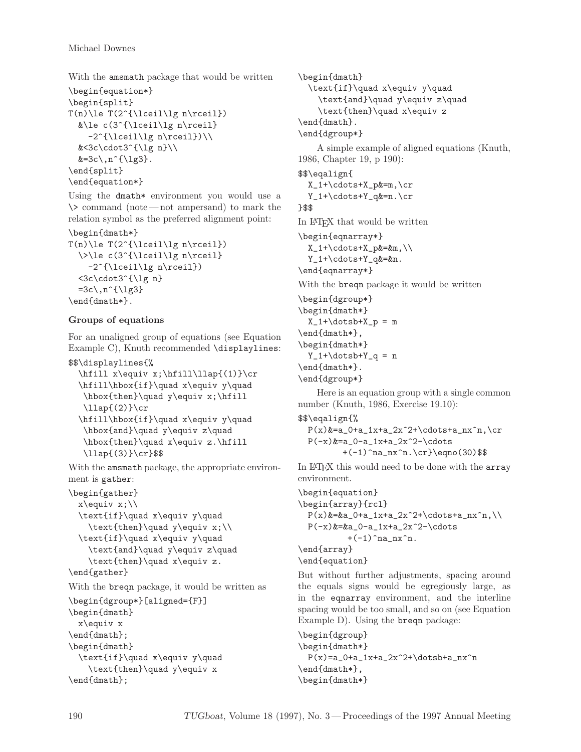With the amsmath package that would be written

```
\begin{equation*}
\begin{split}
T(n)\leq T(2^{\lceil\log n\rceil})&\le c(3^{\lceil\lg n\rceil}
    -2^{\{\text{leil}\g n\rceil}\}\<3c\cdot3c^{\lg}k=3c\,n^{\{\lceil\}}\end{split}
\end{equation*}
```
Using the dmath\* environment you would use a  $\>$  command (note — not ampersand) to mark the relation symbol as the preferred alignment point:

# \begin{dmath\*}

```
T(n)\leq T(2^{\lceil\log n\rceil})\>\le c(3^{\lceil\lg n\rceil}
     -2^{\lceil\log n\rceil})
  \langle3c\cdotcdot3\hat{}{\lg n}
  =3c\,n^{\prime}\{1g3\}\end{dmath*}.
```
# **Groups of equations**

For an unaligned group of equations (see Equation Example C), Knuth recommended \displaylines:

```
$$\displaylines{%
```

```
\hfill x\equiv x;\hfill\llap{(1)}\cr
\hfill\hbox{if}\quad x\equiv y\quad
 \hbox{then}\quad y\equiv x;\hfill
 \lceil(2)\rceilcr
\hfill\hbox{if}\quad x\equiv y\quad
 \hbox{and}\quad y\equiv z\quad
 \hbox{then}\quad x\equiv z.\hfill
 \llap{(3)}\cr}$$
```
With the amsmath package, the appropriate environment is gather:

```
\begin{gather}
  x\leq x;\setminus\text{if}\quad x\equiv y\quad
    \text{then}\quad y\equiv x;\\
  \text{if}\quad x\equiv y\quad
    \text{and}\quad y\equiv z\quad
    \text{then}\quad x\equiv z.
\end{gather}
With the breqn package, it would be written as
\begin{dgroup*}[aligned={F}]
\begin{dmath}
 x\equiv x
\end{dmath};
\begin{dmath}
  \text{if}\quad x\equiv y\quad
    \text{then}\quad y\equiv x
\end{dmath};
```
\begin{dmath} \text{if}\quad x\equiv y\quad \text{and}\quad y\equiv z\quad \text{then}\quad x\equiv z \end{dmath}. \end{dgroup\*} A simple example of aligned equations (Knuth, 1986, Chapter 19, p 190): \$\$\eqalign{  $X_1+\cdots+X_p$ &=m, \cr Y\_1+\cdots+Y\_q&=n.\cr }\$\$ In LATEX that would be written \begin{eqnarray\*}  $X_1+\cdots+X_p$ &=&m,\\

```
Y_1+\cdots+Y_q&=&n.
\end{eqnarray*}
```
With the breqn package it would be written

\begin{dgroup\*} \begin{dmath\*}  $X_1+\ldots+B_p = m$ \end{dmath\*}, \begin{dmath\*}  $Y_1+\ldots+Y_q = n$ \end{dmath\*}.

\end{dgroup\*}

Here is an equation group with a single common number (Knuth, 1986, Exercise 19.10):

```
$$\eqalign{%
  P(x)&=a_0+a_1x+a_2x^2+\cdots+a_nx^n,\cr
  P(-x) &=a_0-a_1x+a_2x^2-\cdots
          +(-1)<sup>n</sup>a_nx<sup>o</sup>n.\cr}\eqno(30)$$
```
In L<sup>AT</sup>EX this would need to be done with the array environment.

```
\begin{equation}
\begin{array}{rcl}
  P(x)\&=\&a_0+a_1x+a_2x^2+\cdots+a_nx^n,\P(-x)&=&a_0-a_1x+a_2x^2-\cdots
          +(-1)\hat{m}a_nx\hat{n}.
\end{array}
\end{equation}
```
But without further adjustments, spacing around the equals signs would be egregiously large, as in the eqnarray environment, and the interline spacing would be too small, and so on (see Equation Example D). Using the breqn package:

```
\begin{dgroup}
\begin{dmath*}
 P(x)=a_0+a_1x+a_2x^2+\dots+a_nx^n\end{dmath*},
\begin{dmath*}
```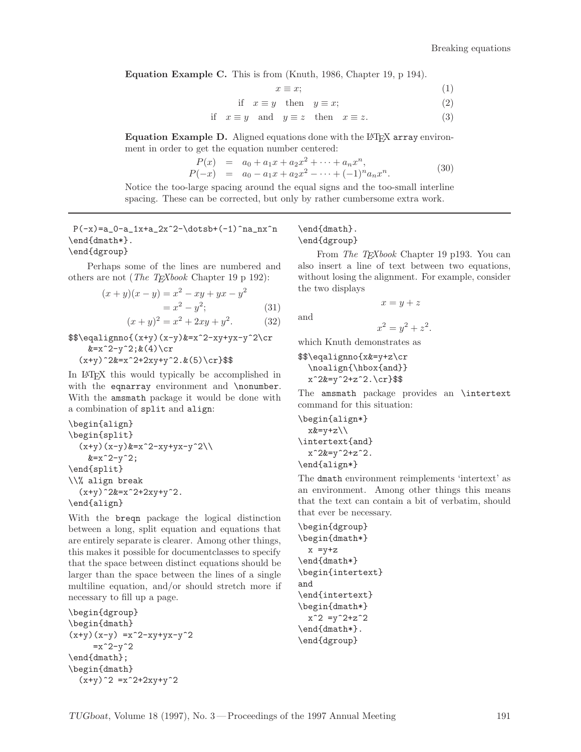**Equation Example C.** This is from (Knuth, 1986, Chapter 19, p 194).

$$
x \equiv x; \tag{1}
$$

if 
$$
x \equiv y
$$
 then  $y \equiv x$ ;\t\t(2)

if 
$$
x \equiv y
$$
 and  $y \equiv z$  then  $x \equiv z$ . (3)

**Equation Example D.** Aligned equations done with the L<sup>AT</sup>EX array environment in order to get the equation number centered:

$$
P(x) = a_0 + a_1 x + a_2 x^2 + \dots + a_n x^n,
$$
  
\n
$$
P(-x) = a_0 - a_1 x + a_2 x^2 - \dots + (-1)^n a_n x^n.
$$
\n(30)

Notice the too-large spacing around the equal signs and the too-small interline spacing. These can be corrected, but only by rather cumbersome extra work.

 $P(-x)=a_0-a_1x+a_2x^2-\dots+b(-1)^n a_nx^n$ \end{dmath\*}.

\end{dgroup}

Perhaps some of the lines are numbered and others are not (*The TEXbook* Chapter 19 p 192):

$$
(x+y)(x-y) = x2 - xy + yx - y2
$$
  
= x<sup>2</sup> - y<sup>2</sup>; (31)

$$
(x+y)^2 = x^2 + 2xy + y^2.
$$
 (32)

\$\$\eqalignno{(x+y)(x-y)&=x^2-xy+yx-y^2\cr  $&=x^2-y^2; \&(4)\csc$  $(x+y)^2$ &=x^2+2xy+y^2.&(5)\cr}\$\$

In LATEX this would typically be accomplished in with the eqnarray environment and \nonumber. With the amsmath package it would be done with a combination of split and align:

```
\begin{align}
\begin{split}
  (x+y)(x-y) x=x^2-xy+yx-y^2\lambda&=x^2-yz^2;\end{split}
\\% align break
  (x+y)^2&=x^2+2xy+y^2.
\end{align}
```
With the breqn package the logical distinction between a long, split equation and equations that are entirely separate is clearer. Among other things, this makes it possible for documentclasses to specify that the space between distinct equations should be larger than the space between the lines of a single multiline equation, and/or should stretch more if necessary to fill up a page.

```
\begin{dgroup}
\begin{dmath}
(x+y)(x-y) = x^2-xy+yx-y^2=x^2-y^2\end{dmath};
\begin{dmath}
  (x+y)^2 = x^2+2xy+y^2
```
### \end{dmath}. \end{dgroup}

From The TEXbook Chapter 19 p193. You can also insert a line of text between two equations, without losing the alignment. For example, consider the two displays

and

$$
x = y + z
$$

 $x^2 = y^2 + z^2$ .

which Knuth demonstrates as

```
$$\eqalignno{x&=y+z\cr
 \noalign{\hbox{and}}
 x^2&=y^2+z^2.\cr}$$
```
The amsmath package provides an \intertext command for this situation:

```
\begin{align*}
  x&=y+z\lambda\intertext{and}
  x^2&=y^2+z^2.
\end{align*}
```
The dmath environment reimplements 'intertext' as an environment. Among other things this means that the text can contain a bit of verbatim, should that ever be necessary.

```
\begin{dgroup}
\begin{dmath*}
  x = y + z\end{dmath*}
\begin{intertext}
and
\end{intertext}
\begin{dmath*}
  x^2 = y^2 + z^2\end{dmath*}.
\end{dgroup}
```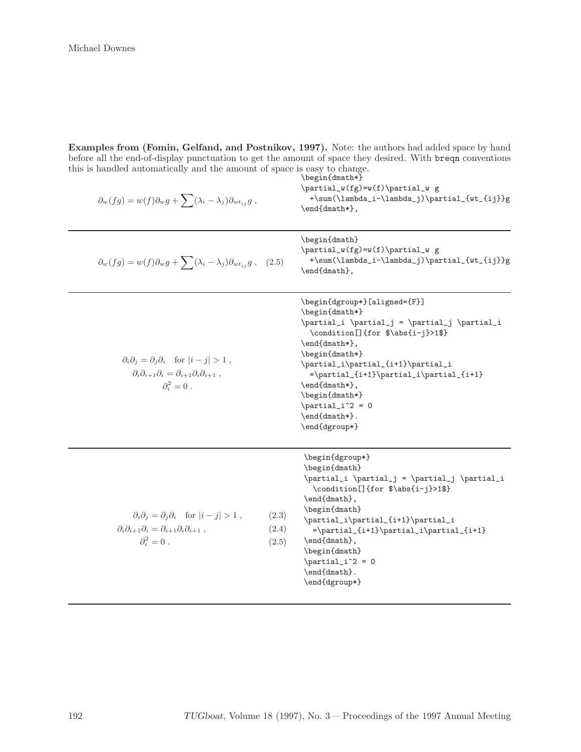**Examples from (Fomin, Gelfand, and Postnikov, 1997).** Note: the authors had added space by hand before all the end-of-display punctuation to get the amount of space they desired. With breqn conventions this is handled automatically and the amount of space is easy to change.

| $\partial_w(fg) = w(f)\partial_w g + \sum (\lambda_i - \lambda_j)\partial_{wt_{ij}} g$ ,                                                                                                                    | \begin{dmath*}<br>\partial_w(fg)=w(f)\partial_wg<br>+\sum(\lambda_i-\lambda_j)\partial_{wt_{ij}}g<br>\end{dmath*},                                                                                                                                                                                                                                   |
|-------------------------------------------------------------------------------------------------------------------------------------------------------------------------------------------------------------|------------------------------------------------------------------------------------------------------------------------------------------------------------------------------------------------------------------------------------------------------------------------------------------------------------------------------------------------------|
| $\partial_w(fg) = w(f)\partial_w g + \sum (\lambda_i - \lambda_j)\partial_{wt_{ij}}g$ , (2.5)                                                                                                               | \begin{dmath}<br>\partial_w(fg)=w(f)\partial_w g<br>+\sum(\lambda_i-\lambda_j)\partial_{wt_{ij}}g<br>\end{dmath},                                                                                                                                                                                                                                    |
| $\partial_i \partial_j = \partial_j \partial_i$ for $ i - j  > 1$ ,<br>$\partial_i \partial_{i+1} \partial_i = \partial_{i+1} \partial_i \partial_{i+1}$ ,<br>$\partial_i^2 = 0$ .                          | \begin{dgroup*}[aligned={F}]<br>\begin{dmath*}<br>\partial_i \partial_j = \partial_j \partial_i<br>\condition[]{for \$\abs{i-j}>1\$}<br>\end{dmath*},<br>\begin{dmath*}<br>\partial_i\partial_{i+1}\partial_i<br>=\partial_{i+1}\partial_i\partial_{i+1}<br>$\end{math}$ ,<br>\begin{dmath*}<br>$\partial_i^2 = 0$<br>\end{dmath*}.<br>\end{dgroup*} |
| $\partial_i \partial_j = \partial_j \partial_i$ for $ i - j  > 1$ ,<br>(2.3)<br>$\partial_i \partial_{i+1} \partial_i = \partial_{i+1} \partial_i \partial_{i+1}$ ,<br>(2.4)<br>$\partial_i^2=0$ .<br>(2.5) | \begin{dgroup*}<br>\begin{dmath}<br>\partial_i \partial_j = \partial_j \partial_i<br>\condition[]{for \$\abs{i-j}>1\$}<br>\end{dmath},<br>\begin{dmath}<br>\partial_i\partial_{i+1}\partial_i<br>=\partial_{i+1}\partial_i\partial_{i+1}<br>\end{dmath},<br>\begin{dmath}<br>$\partial_i^2 = 0$<br>\end{dmath}.<br>\end{dgroup*}                     |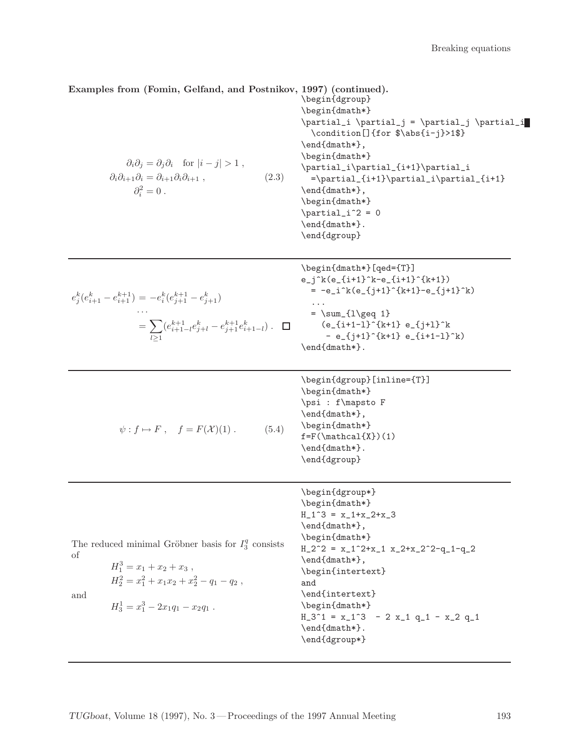**Examples from (Fomin, Gelfand, and Postnikov, 1997) (continued).**

$$
\begin{array}{c}\n\begin{array}{c}\n\begin{array}{c}\n\begin{array}{c}\n\begin{array}{c}\n\begin{array}{c}\n\begin{array}{c}\n\begin{array}{c}\n\begin{array}{c}\n\begin{array}{c}\n\begin{array}{c}\n\begin{array}{c}\n\begin{array}{c}\n\begin{array}{c}\n\begin{array}{c}\n\begin{array}{c}\n\begin{array}{c}\n\begin{array}{c}\n\begin{array}{c}\n\begin{array}{c}\n\begin{array}{c}\n\begin{array}{c}\n\begin{array}{c}\n\begin{array}{c}\n\begin{array}{c}\n\begin{array}{c}\n\begin{array}{c}\n\begin{array}{c}\n\begin{array}{c}\n\begin{array}{c}\n\begin{array}{c}\n\begin{array}{c}\n\begin{array}{c}\n\begin{array}{c}\n\begin{array}{c}\n\begin{array}{c}\n\begin{array}{c}\n\begin{array}{c}\n\begin{array}{c}\n\begin{array}{c}\n\begin{array}{c}\n\begin{array}{c}\n\begin{array}{c}\n\begin{array}{c}\n\begin{array}{c}\n\begin{array}{c}\n\begin{array}{c}\n\begin{array}{c}\n\begin{array}{c}\n\begin{array}{c}\n\begin{array}{c}\n\begin{array}{c}\n\begin{array}{c}\n\begin{array}{c}\n\begin{array}{c}\n\begin{array}{c}\n\begin{array}{c}\n\begin{array}{c}\n\begin{array}{c}\n\begin{array}{c}\n\begin{array}{c}\n\begin{array}{c}\n\begin{array}{c}\n\begin{array}{c}\n\begin{array}{c}\n\begin{array}{c}\n\begin{array}{c}\n\begin{array}{c}\n\begin{array}{c}\n\begin{array}{c}\n\begin{array}{c}\n\begin{array}{c}\n\begin{array}{c}\n\begin{array}{c}\n\begin{array}{c}\n\begin{array}{c}\n\begin{array}{c}\n\begin{array}{c}\n\begin{array}{c}\n\begin{array}{c}\n\begin{array}{c}\n\begin{array}{c}\n\begin{array}{c}\n\begin{array}{c}\n\begin{array}{c}\n\begin{array}{c}\n\begin{array}{c}\n\begin{array}{c}\n\begin{array}{c}\n\begin{array}{c}\n\begin{array}{c}\n\begin{array}{c}\n\begin{array}{c}\n\begin{array}{c}\n\begin{array}{c}
$$